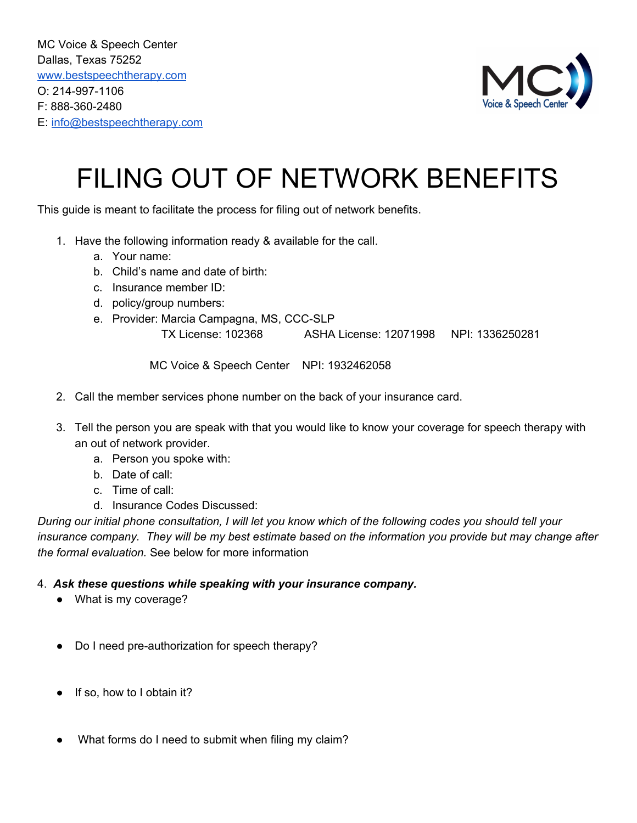MC Voice & Speech Center Dallas, Texas 75252 [www.bestspeechtherapy.com](http://www.bestspeechtherapy.com/) O: 214-997-1106 F: 888-360-2480 E: [info@bestspeechtherapy.com](mailto:info@bestspeechtherapy.com)



## FILING OUT OF NETWORK BENEFITS

This guide is meant to facilitate the process for filing out of network benefits.

- 1. Have the following information ready & available for the call.
	- a. Your name:
	- b. Child's name and date of birth:
	- c. Insurance member ID:
	- d. policy/group numbers:
	- e. Provider: Marcia Campagna, MS, CCC-SLP

TX License: 102368 ASHA License: 12071998 NPI: 1336250281

MC Voice & Speech Center NPI: 1932462058

- 2. Call the member services phone number on the back of your insurance card.
- 3. Tell the person you are speak with that you would like to know your coverage for speech therapy with an out of network provider.
	- a. Person you spoke with:
	- b. Date of call:
	- c. Time of call:
	- d. Insurance Codes Discussed:

During our initial phone consultation, I will let you know which of the following codes you should tell your insurance company. They will be my best estimate based on the information you provide but may change after *the formal evaluation.* See below for more information

## 4. *Ask these questions while speaking with your insurance company.*

- What is my coverage?
- Do I need pre-authorization for speech therapy?
- If so, how to I obtain it?
- What forms do I need to submit when filing my claim?